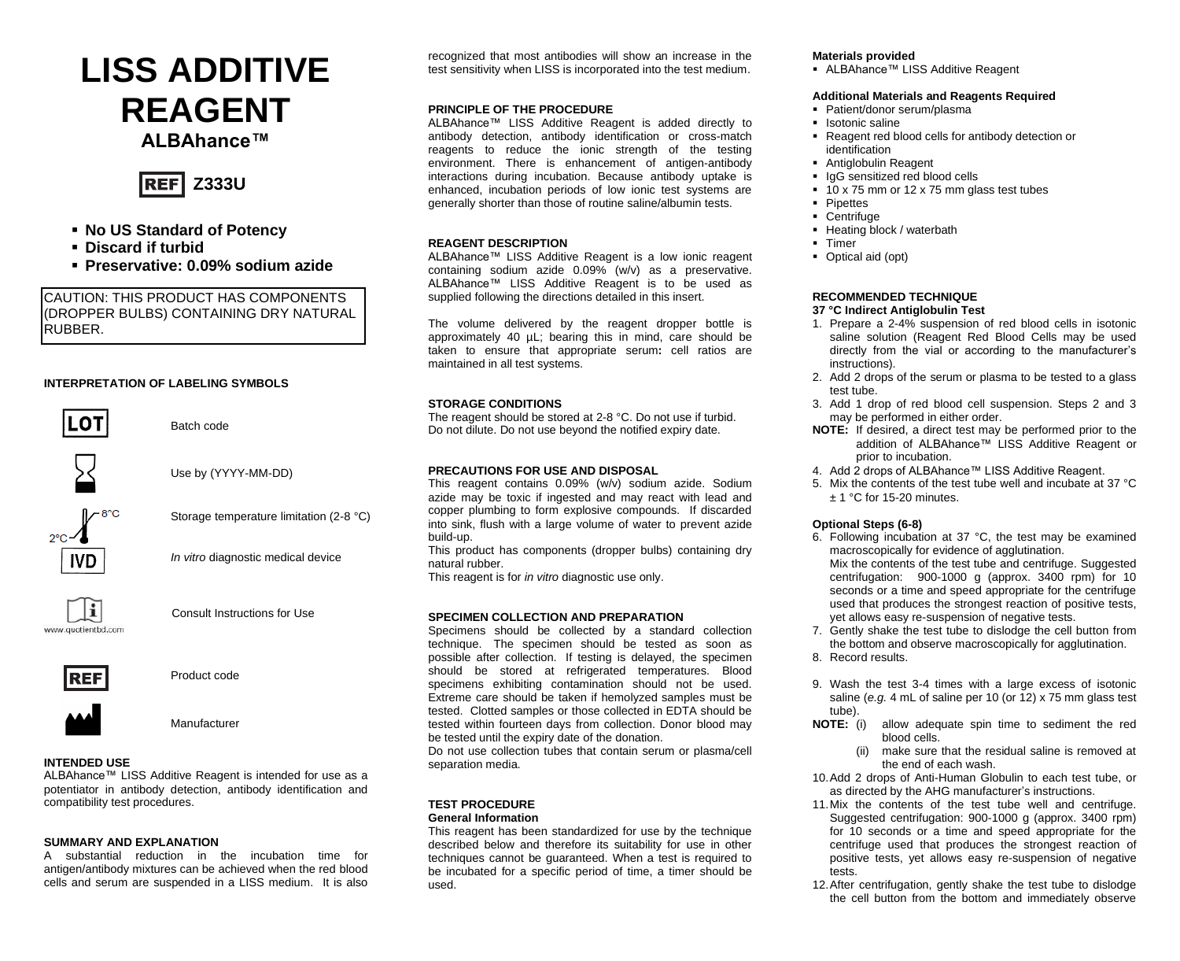# **LISS ADDITIVE REAGENT**

**ALBAhance™**



- **No US Standard of Potency**
- **Discard if turbid**
- **Preservative: 0.09% sodium azide**

CAUTION: THIS PRODUCT HAS COMPONENTS (DROPPER BULBS) CONTAINING DRY NATURAL RUBBER.

#### **INTERPRETATION OF LABELING SYMBOLS**



Batch code



Use by (YYYY-MM-DD)



*In vitro* diagnostic medical device

Storage temperature limitation (2-8 °C)





Consult Instructions for Use



Product code



Manufacturer

#### **INTENDED USE**

ALBAhance™ LISS Additive Reagent is intended for use as a potentiator in antibody detection, antibody identification and compatibility test procedures.

#### **SUMMARY AND EXPLANATION**

A substantial reduction in the incubation time for antigen/antibody mixtures can be achieved when the red blood cells and serum are suspended in a LISS medium. It is also recognized that most antibodies will show an increase in the test sensitivity when LISS is incorporated into the test medium.

#### **PRINCIPLE OF THE PROCEDURE**

ALBAhance™ LISS Additive Reagent is added directly to antibody detection, antibody identification or cross-match reagents to reduce the ionic strength of the testing environment. There is enhancement of antigen-antibody interactions during incubation. Because antibody uptake is enhanced, incubation periods of low ionic test systems are generally shorter than those of routine saline/albumin tests.

#### **REAGENT DESCRIPTION**

ALBAhance™ LISS Additive Reagent is a low ionic reagent containing sodium azide 0.09% (w/v) as a preservative. ALBAhance™ LISS Additive Reagent is to be used as supplied following the directions detailed in this insert.

The volume delivered by the reagent dropper bottle is approximately 40 µL; bearing this in mind, care should be taken to ensure that appropriate serum**:** cell ratios are maintained in all test systems.

#### **STORAGE CONDITIONS**

The reagent should be stored at 2-8 °C. Do not use if turbid. Do not dilute. Do not use beyond the notified expiry date.

#### **PRECAUTIONS FOR USE AND DISPOSAL**

This reagent contains 0.09% (w/v) sodium azide. Sodium azide may be toxic if ingested and may react with lead and copper plumbing to form explosive compounds. If discarded into sink, flush with a large volume of water to prevent azide build-up.

This product has components (dropper bulbs) containing dry natural rubber.

This reagent is for *in vitro* diagnostic use only.

#### **SPECIMEN COLLECTION AND PREPARATION**

Specimens should be collected by a standard collection technique. The specimen should be tested as soon as possible after collection. If testing is delayed, the specimen should be stored at refrigerated temperatures. Blood specimens exhibiting contamination should not be used. Extreme care should be taken if hemolyzed samples must be tested. Clotted samples or those collected in EDTA should be tested within fourteen days from collection. Donor blood may be tested until the expiry date of the donation.

Do not use collection tubes that contain serum or plasma/cell separation media.

#### **TEST PROCEDURE General Information**

This reagent has been standardized for use by the technique described below and therefore its suitability for use in other techniques cannot be guaranteed. When a test is required to be incubated for a specific period of time, a timer should be used.

#### **Materials provided**

■ ALBAhance™ LISS Additive Reagent

#### **Additional Materials and Reagents Required**

- Patient/donor serum/plasma
- Isotonic saline
- Reagent red blood cells for antibody detection or identification
- **Antiglobulin Reagent**
- IgG sensitized red blood cells
- 10 x 75 mm or 12 x 75 mm glass test tubes
- **Pinettes**
- Centrifuge
- Heating block / waterbath
- **Timer**
- Optical aid (opt)

## **RECOMMENDED TECHNIQUE**

### **37 °C Indirect Antiglobulin Test**

- 1. Prepare a 2-4% suspension of red blood cells in isotonic saline solution (Reagent Red Blood Cells may be used directly from the vial or according to the manufacturer's instructions).
- 2. Add 2 drops of the serum or plasma to be tested to a glass test tube.
- 3. Add 1 drop of red blood cell suspension. Steps 2 and 3 may be performed in either order.
- **NOTE:** If desired, a direct test may be performed prior to the addition of ALBAhance™ LISS Additive Reagent or prior to incubation.
- 4. Add 2 drops of ALBAhance™ LISS Additive Reagent.
- 5. Mix the contents of the test tube well and incubate at 37 °C  $± 1 °C$  for 15-20 minutes.

#### **Optional Steps (6-8)**

- 6. Following incubation at 37 °C, the test may be examined macroscopically for evidence of agglutination. Mix the contents of the test tube and centrifuge. Suggested centrifugation: 900-1000 g (approx. 3400 rpm) for 10 seconds or a time and speed appropriate for the centrifuge used that produces the strongest reaction of positive tests, yet allows easy re-suspension of negative tests.
- 7. Gently shake the test tube to dislodge the cell button from the bottom and observe macroscopically for agglutination.
- 8. Record results.
- 9. Wash the test 3-4 times with a large excess of isotonic saline (e.g. 4 mL of saline per 10 (or 12) x 75 mm glass test tube).<br>NOTE: (i)
- allow adequate spin time to sediment the red blood cells.
	- (ii) make sure that the residual saline is removed at the end of each wash.
- 10.Add 2 drops of Anti-Human Globulin to each test tube, or as directed by the AHG manufacturer's instructions.
- 11.Mix the contents of the test tube well and centrifuge. Suggested centrifugation: 900-1000 g (approx. 3400 rpm) for 10 seconds or a time and speed appropriate for the centrifuge used that produces the strongest reaction of positive tests, yet allows easy re-suspension of negative tests.
- 12.After centrifugation, gently shake the test tube to dislodge the cell button from the bottom and immediately observe